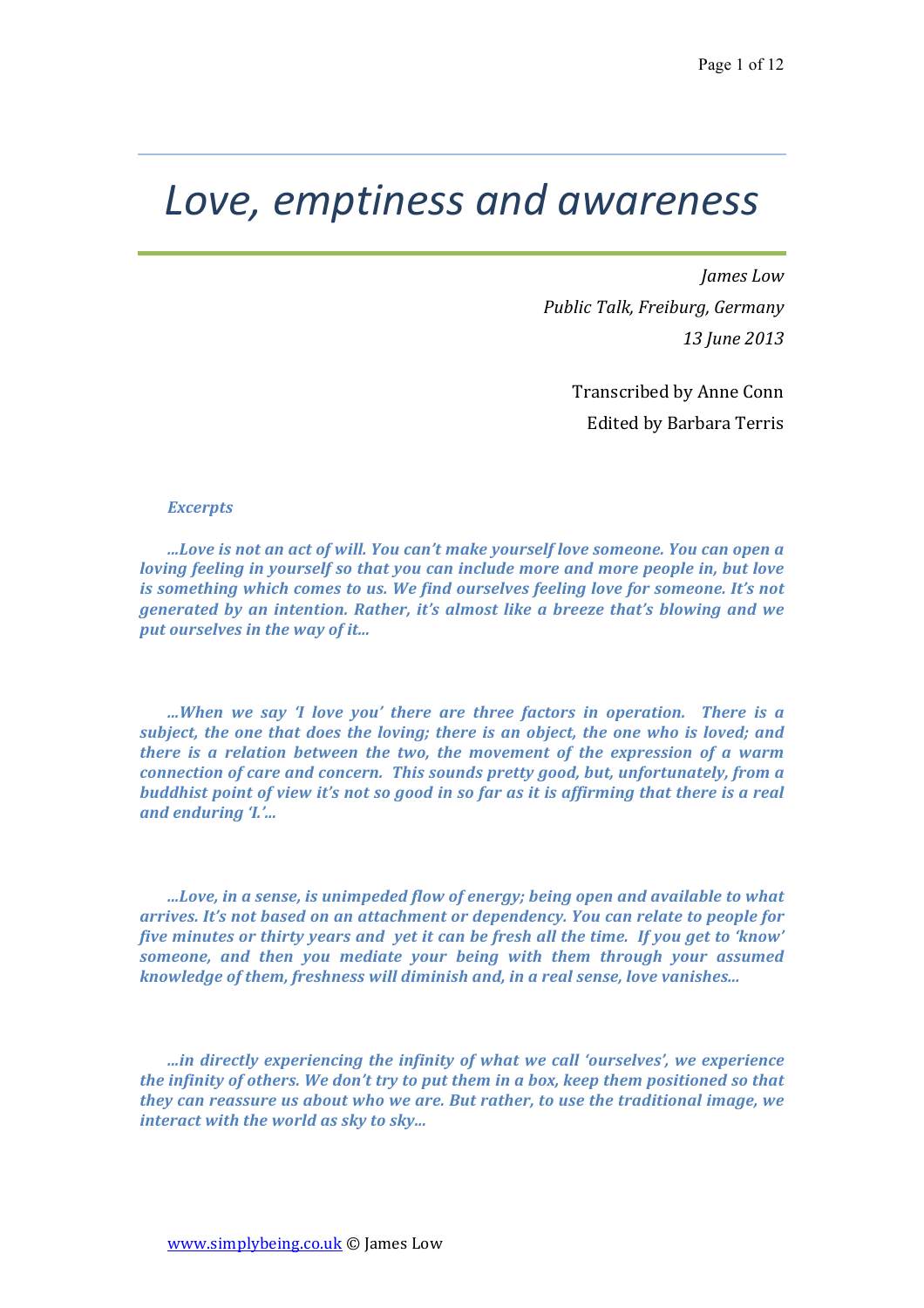# *Love, emptiness and awareness*

*James Low Public Talk, Freiburg, Germany 13 June 2013*

> Transcribed by Anne Conn Edited by Barbara Terris

#### *Excerpts*

*...Love* is not an act of will. You can't make yourself love someone. You can open a *loving feeling in yourself so that you can include more and more people in, but love is something which comes to us. We find ourselves feeling love for someone. It's not generated by an intention. Rather, it's almost like a breeze that's blowing and we* put ourselves in the way of it...

*...When* we say 'I love you' there are three factors in operation. There is a *subject, the one that does the loving; there is an object, the one who is loved; and there is a relation between the two, the movement of the expression of a warm connection of care and concern. This sounds pretty good, but, unfortunately, from a buddhist point of view it's not so good in so far as it is affirming that there is a real and enduring 'I.'...* 

*...Love,* in a sense, is unimpeded flow of energy; being open and available to what *arrives.* It's not based on an attachment or dependency. You can relate to people for *five minutes or thirty years and yet it can be fresh all the time. If you get to 'know' someone, and then you mediate your being with them through your assumed knowledge of them, freshness will diminish and, in a real sense, love vanishes...* 

*...in directly experiencing the infinity of what we call 'ourselves', we experience the infinity of others. We don't try to put them in a box, keep them positioned so that they* can reassure us about who we are. But rather, to use the traditional image, we *interact with the world as sky to sky...*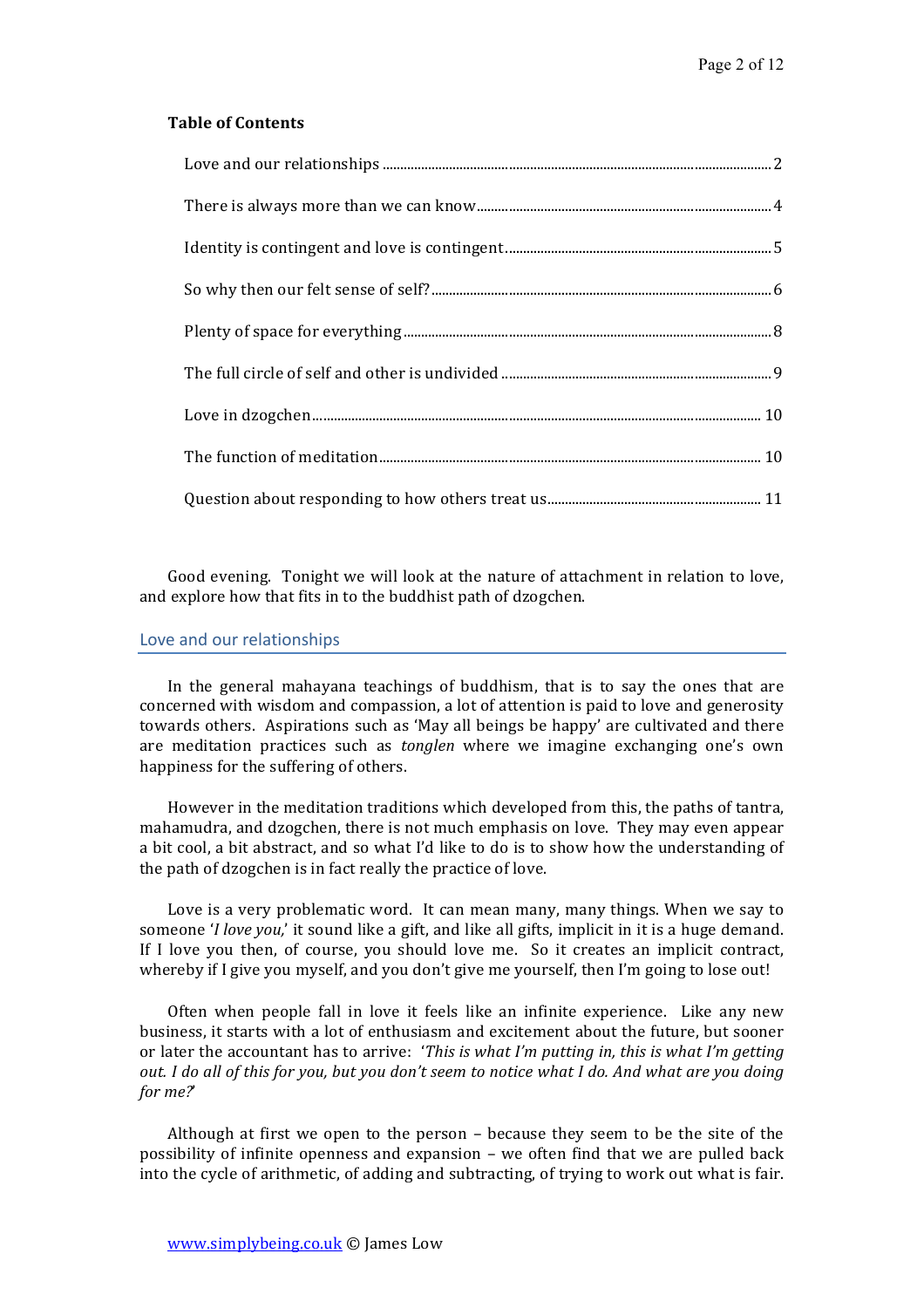# **Table of Contents**

Good evening. Tonight we will look at the nature of attachment in relation to love, and explore how that fits in to the buddhist path of dzogchen.

### Love and our relationships

In the general mahayana teachings of buddhism, that is to say the ones that are concerned with wisdom and compassion, a lot of attention is paid to love and generosity towards others. Aspirations such as 'May all beings be happy' are cultivated and there are meditation practices such as *tonglen* where we imagine exchanging one's own happiness for the suffering of others.

However in the meditation traditions which developed from this, the paths of tantra, mahamudra, and dzogchen, there is not much emphasis on love. They may even appear a bit cool, a bit abstract, and so what I'd like to do is to show how the understanding of the path of dzogchen is in fact really the practice of love.

Love is a very problematic word. It can mean many, many things. When we say to someone '*I* love you,' it sound like a gift, and like all gifts, implicit in it is a huge demand. If I love you then, of course, you should love me. So it creates an implicit contract, whereby if I give you myself, and you don't give me yourself, then I'm going to lose out!

Often when people fall in love it feels like an infinite experience. Like any new business, it starts with a lot of enthusiasm and excitement about the future, but sooner or later the accountant has to arrive: *'This is what I'm putting in, this is what I'm getting out. I* do all of this for you, but you don't seem to notice what I do. And what are you doing *for me?*'

Although at first we open to the person  $-$  because they seem to be the site of the possibility of infinite openness and expansion - we often find that we are pulled back into the cycle of arithmetic, of adding and subtracting, of trying to work out what is fair.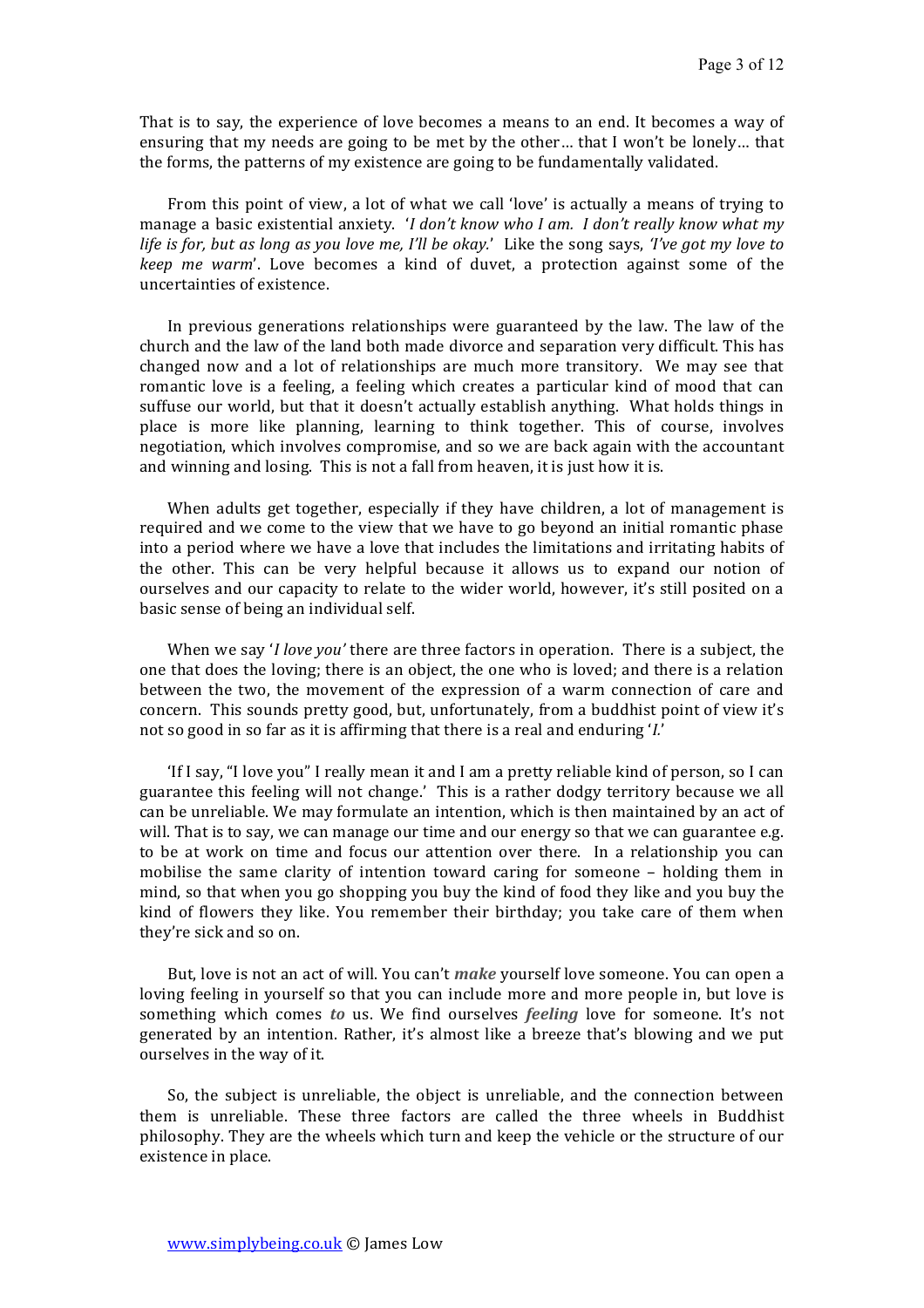That is to say, the experience of love becomes a means to an end. It becomes a way of ensuring that my needs are going to be met by the other... that I won't be lonely... that the forms, the patterns of my existence are going to be fundamentally validated.

From this point of view, a lot of what we call 'love' is actually a means of trying to manage a basic existential anxiety. *'I don't know who I am. I don't really know what my life* is for, but as long as you love me, I'll be okay.' Like the song says, 'I've got my love to *keep* me warm'. Love becomes a kind of duvet, a protection against some of the uncertainties of existence.

In previous generations relationships were guaranteed by the law. The law of the church and the law of the land both made divorce and separation very difficult. This has changed now and a lot of relationships are much more transitory. We may see that romantic love is a feeling, a feeling which creates a particular kind of mood that can suffuse our world, but that it doesn't actually establish anything. What holds things in place is more like planning, learning to think together. This of course, involves negotiation, which involves compromise, and so we are back again with the accountant and winning and losing. This is not a fall from heaven, it is just how it is.

When adults get together, especially if they have children, a lot of management is required and we come to the view that we have to go beyond an initial romantic phase into a period where we have a love that includes the limitations and irritating habits of the other. This can be very helpful because it allows us to expand our notion of ourselves and our capacity to relate to the wider world, however, it's still posited on a basic sense of being an individual self.

When we say *'I love you'* there are three factors in operation. There is a subject, the one that does the loving; there is an object, the one who is loved; and there is a relation between the two, the movement of the expression of a warm connection of care and concern. This sounds pretty good, but, unfortunately, from a buddhist point of view it's not so good in so far as it is affirming that there is a real and enduring '*I*.'

'If I say, "I love you" I really mean it and I am a pretty reliable kind of person, so I can guarantee this feeling will not change.' This is a rather dodgy territory because we all can be unreliable. We may formulate an intention, which is then maintained by an act of will. That is to say, we can manage our time and our energy so that we can guarantee e.g. to be at work on time and focus our attention over there. In a relationship you can mobilise the same clarity of intention toward caring for someone – holding them in mind, so that when you go shopping you buy the kind of food they like and you buy the kind of flowers they like. You remember their birthday; you take care of them when they're sick and so on.

But, love is not an act of will. You can't *make* yourself love someone. You can open a loving feeling in yourself so that you can include more and more people in, but love is something which comes to us. We find ourselves *feeling* love for someone. It's not generated by an intention. Rather, it's almost like a breeze that's blowing and we put ourselves in the way of it.

So, the subject is unreliable, the object is unreliable, and the connection between them is unreliable. These three factors are called the three wheels in Buddhist philosophy. They are the wheels which turn and keep the vehicle or the structure of our existence in place.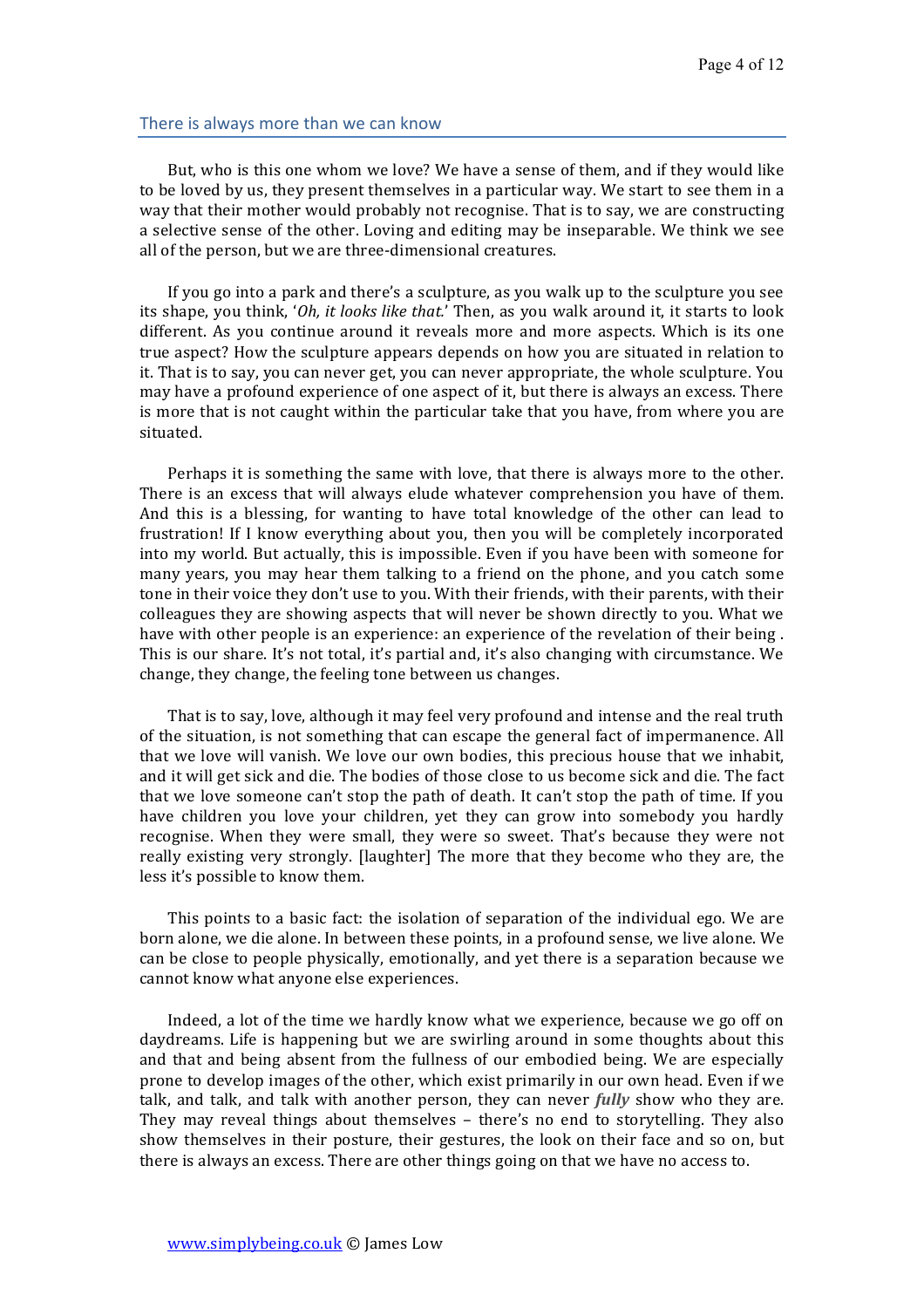### There is always more than we can know

But, who is this one whom we love? We have a sense of them, and if they would like to be loved by us, they present themselves in a particular way. We start to see them in a way that their mother would probably not recognise. That is to say, we are constructing a selective sense of the other. Loving and editing may be inseparable. We think we see all of the person, but we are three-dimensional creatures.

If you go into a park and there's a sculpture, as you walk up to the sculpture you see its shape, you think, '*Oh, it looks like that.*' Then, as you walk around it, it starts to look different. As you continue around it reveals more and more aspects. Which is its one true aspect? How the sculpture appears depends on how you are situated in relation to it. That is to say, you can never get, you can never appropriate, the whole sculpture. You may have a profound experience of one aspect of it, but there is always an excess. There is more that is not caught within the particular take that you have, from where you are situated. 

Perhaps it is something the same with love, that there is always more to the other. There is an excess that will always elude whatever comprehension you have of them. And this is a blessing, for wanting to have total knowledge of the other can lead to frustration! If I know everything about you, then you will be completely incorporated into my world. But actually, this is impossible. Even if you have been with someone for many years, you may hear them talking to a friend on the phone, and you catch some tone in their voice they don't use to you. With their friends, with their parents, with their colleagues they are showing aspects that will never be shown directly to you. What we have with other people is an experience: an experience of the revelation of their being. This is our share. It's not total, it's partial and, it's also changing with circumstance. We change, they change, the feeling tone between us changes.

That is to say, love, although it may feel very profound and intense and the real truth of the situation, is not something that can escape the general fact of impermanence. All that we love will vanish. We love our own bodies, this precious house that we inhabit, and it will get sick and die. The bodies of those close to us become sick and die. The fact that we love someone can't stop the path of death. It can't stop the path of time. If you have children you love your children, yet they can grow into somebody you hardly recognise. When they were small, they were so sweet. That's because they were not really existing very strongly. [laughter] The more that they become who they are, the less it's possible to know them.

This points to a basic fact: the isolation of separation of the individual ego. We are born alone, we die alone. In between these points, in a profound sense, we live alone. We can be close to people physically, emotionally, and yet there is a separation because we cannot know what anyone else experiences.

Indeed, a lot of the time we hardly know what we experience, because we go off on daydreams. Life is happening but we are swirling around in some thoughts about this and that and being absent from the fullness of our embodied being. We are especially prone to develop images of the other, which exist primarily in our own head. Even if we talk, and talk, and talk with another person, they can never *fully* show who they are. They may reveal things about themselves – there's no end to storytelling. They also show themselves in their posture, their gestures, the look on their face and so on, but there is always an excess. There are other things going on that we have no access to.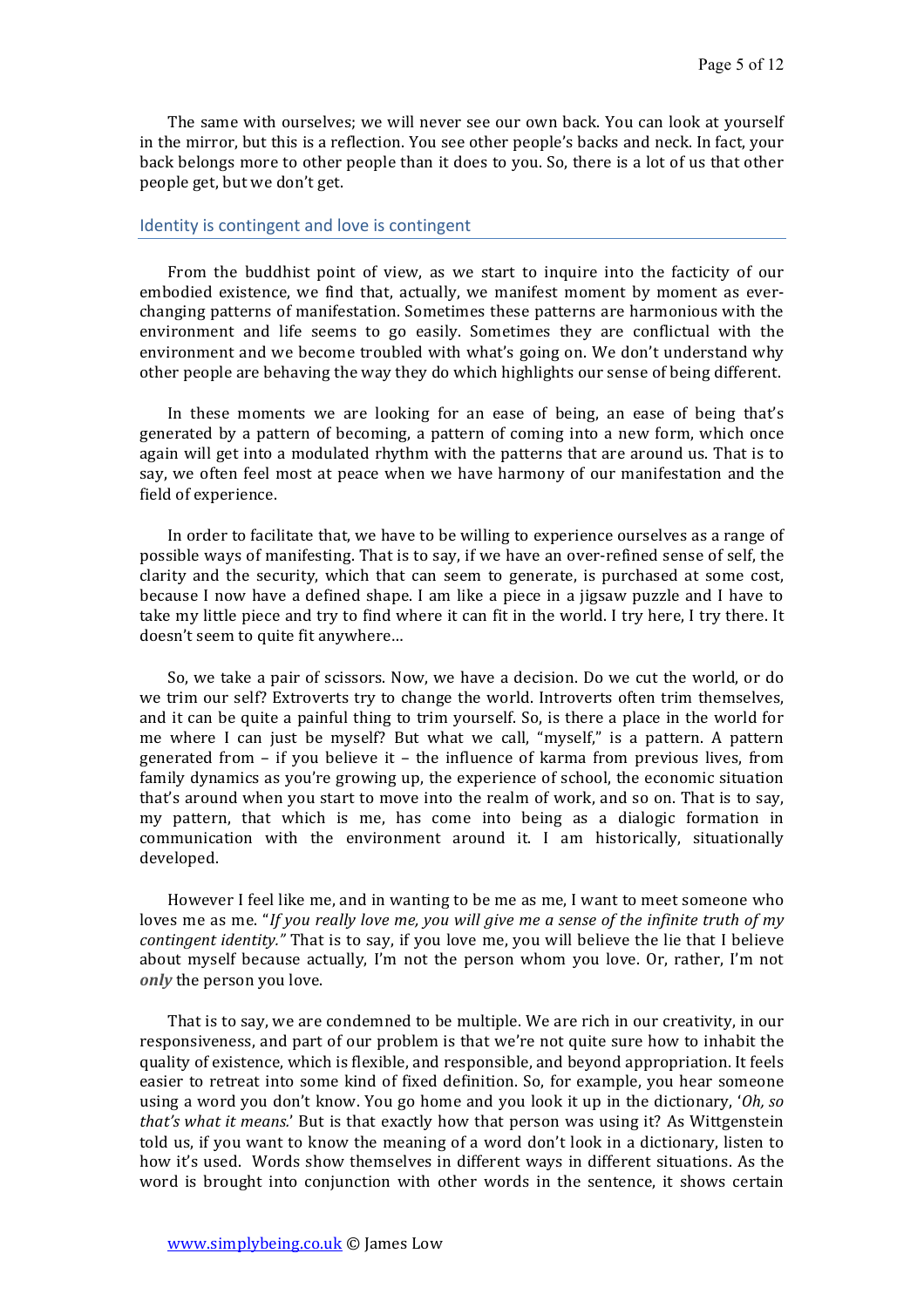The same with ourselves; we will never see our own back. You can look at yourself in the mirror, but this is a reflection. You see other people's backs and neck. In fact, your back belongs more to other people than it does to you. So, there is a lot of us that other people get, but we don't get.

#### Identity is contingent and love is contingent

From the buddhist point of view, as we start to inquire into the facticity of our embodied existence, we find that, actually, we manifest moment by moment as everchanging patterns of manifestation. Sometimes these patterns are harmonious with the environment and life seems to go easily. Sometimes they are conflictual with the environment and we become troubled with what's going on. We don't understand why other people are behaving the way they do which highlights our sense of being different.

In these moments we are looking for an ease of being, an ease of being that's generated by a pattern of becoming, a pattern of coming into a new form, which once again will get into a modulated rhythm with the patterns that are around us. That is to say, we often feel most at peace when we have harmony of our manifestation and the field of experience.

In order to facilitate that, we have to be willing to experience ourselves as a range of possible ways of manifesting. That is to say, if we have an over-refined sense of self, the clarity and the security, which that can seem to generate, is purchased at some cost, because I now have a defined shape. I am like a piece in a jigsaw puzzle and I have to take my little piece and try to find where it can fit in the world. I try here, I try there. It doesn't seem to quite fit anywhere...

So, we take a pair of scissors. Now, we have a decision. Do we cut the world, or do we trim our self? Extroverts try to change the world. Introverts often trim themselves, and it can be quite a painful thing to trim yourself. So, is there a place in the world for me where I can just be myself? But what we call, "myself," is a pattern. A pattern generated from  $-$  if you believe it  $-$  the influence of karma from previous lives, from family dynamics as you're growing up, the experience of school, the economic situation that's around when you start to move into the realm of work, and so on. That is to say, my pattern, that which is me, has come into being as a dialogic formation in communication with the environment around it. I am historically, situationally developed. 

However I feel like me, and in wanting to be me as me, I want to meet someone who loves me as me. "If you really love me, you will give me a sense of the infinite truth of my *contingent identity."* That is to say, if you love me, you will believe the lie that I believe about myself because actually, I'm not the person whom you love. Or, rather, I'm not *only* the person you love.

That is to say, we are condemned to be multiple. We are rich in our creativity, in our responsiveness, and part of our problem is that we're not quite sure how to inhabit the quality of existence, which is flexible, and responsible, and beyond appropriation. It feels easier to retreat into some kind of fixed definition. So, for example, you hear someone using a word you don't know. You go home and you look it up in the dictionary, '*Oh, so that's* what it means.' But is that exactly how that person was using it? As Wittgenstein told us, if you want to know the meaning of a word don't look in a dictionary, listen to how it's used. Words show themselves in different ways in different situations. As the word is brought into conjunction with other words in the sentence, it shows certain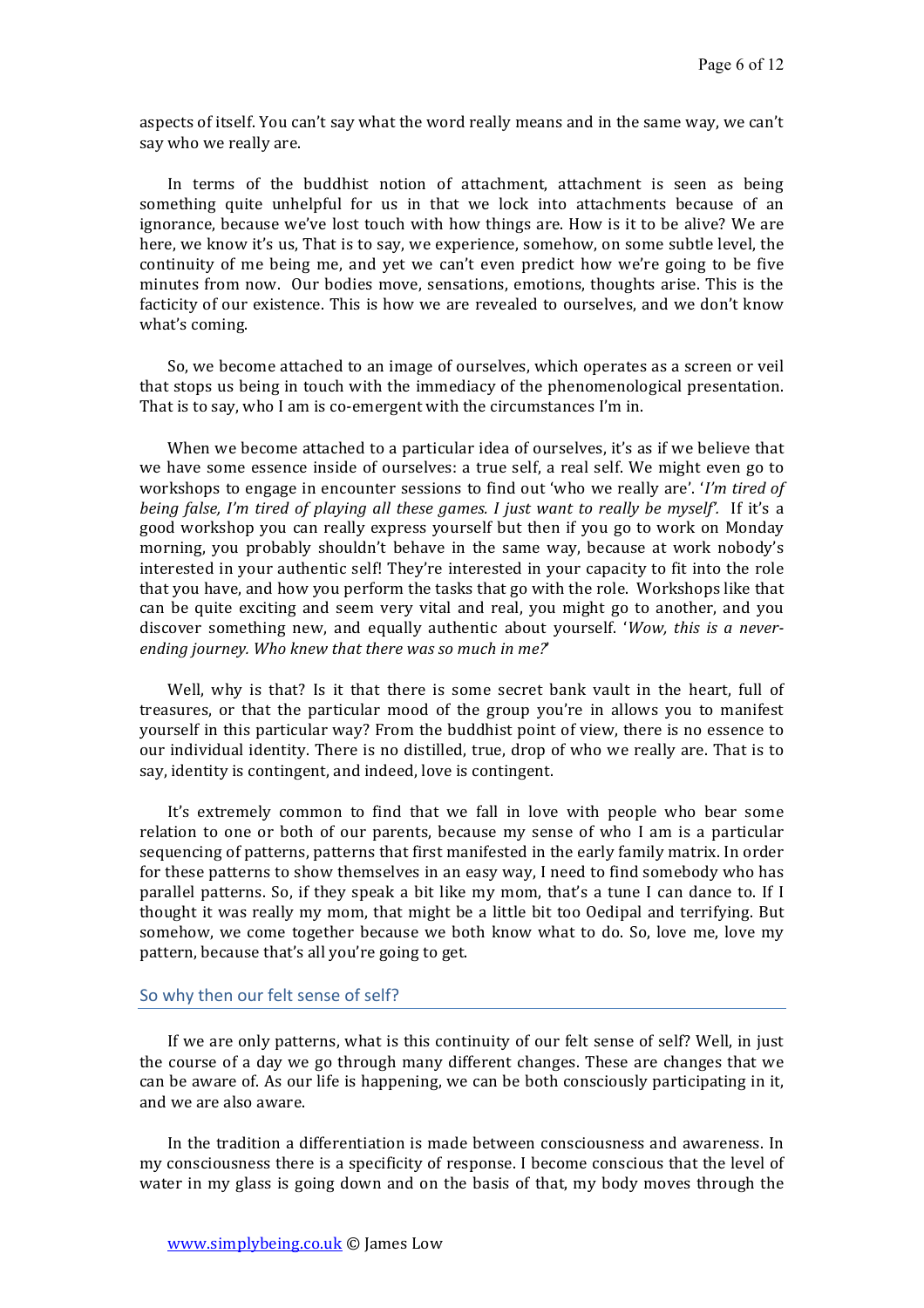aspects of itself. You can't say what the word really means and in the same way, we can't say who we really are.

In terms of the buddhist notion of attachment, attachment is seen as being something quite unhelpful for us in that we lock into attachments because of an ignorance, because we've lost touch with how things are. How is it to be alive? We are here, we know it's us, That is to say, we experience, somehow, on some subtle level, the continuity of me being me, and yet we can't even predict how we're going to be five minutes from now. Our bodies move, sensations, emotions, thoughts arise. This is the facticity of our existence. This is how we are revealed to ourselves, and we don't know what's coming.

So, we become attached to an image of ourselves, which operates as a screen or veil that stops us being in touch with the immediacy of the phenomenological presentation. That is to say, who I am is co-emergent with the circumstances I'm in.

When we become attached to a particular idea of ourselves, it's as if we believe that we have some essence inside of ourselves: a true self, a real self. We might even go to workshops to engage in encounter sessions to find out 'who we really are'. '*I'm tired of being false, I'm tired of playing all these games. I just want to really be myself'.* If it's a good workshop you can really express yourself but then if you go to work on Monday morning, you probably shouldn't behave in the same way, because at work nobody's interested in your authentic self! They're interested in your capacity to fit into the role that you have, and how you perform the tasks that go with the role. Workshops like that can be quite exciting and seem very vital and real, you might go to another, and you discover something new, and equally authentic about yourself. '*Wow, this is a never*ending journey. Who knew that there was so much in me?'

Well, why is that? Is it that there is some secret bank vault in the heart, full of treasures, or that the particular mood of the group you're in allows you to manifest yourself in this particular way? From the buddhist point of view, there is no essence to our individual identity. There is no distilled, true, drop of who we really are. That is to say, identity is contingent, and indeed, love is contingent.

It's extremely common to find that we fall in love with people who bear some relation to one or both of our parents, because my sense of who I am is a particular sequencing of patterns, patterns that first manifested in the early family matrix. In order for these patterns to show themselves in an easy way, I need to find somebody who has parallel patterns. So, if they speak a bit like my mom, that's a tune I can dance to. If I thought it was really my mom, that might be a little bit too Oedipal and terrifying. But somehow, we come together because we both know what to do. So, love me, love my pattern, because that's all you're going to get.

## So why then our felt sense of self?

If we are only patterns, what is this continuity of our felt sense of self? Well, in just the course of a day we go through many different changes. These are changes that we can be aware of. As our life is happening, we can be both consciously participating in it. and we are also aware.

In the tradition a differentiation is made between consciousness and awareness. In my consciousness there is a specificity of response. I become conscious that the level of water in my glass is going down and on the basis of that, my body moves through the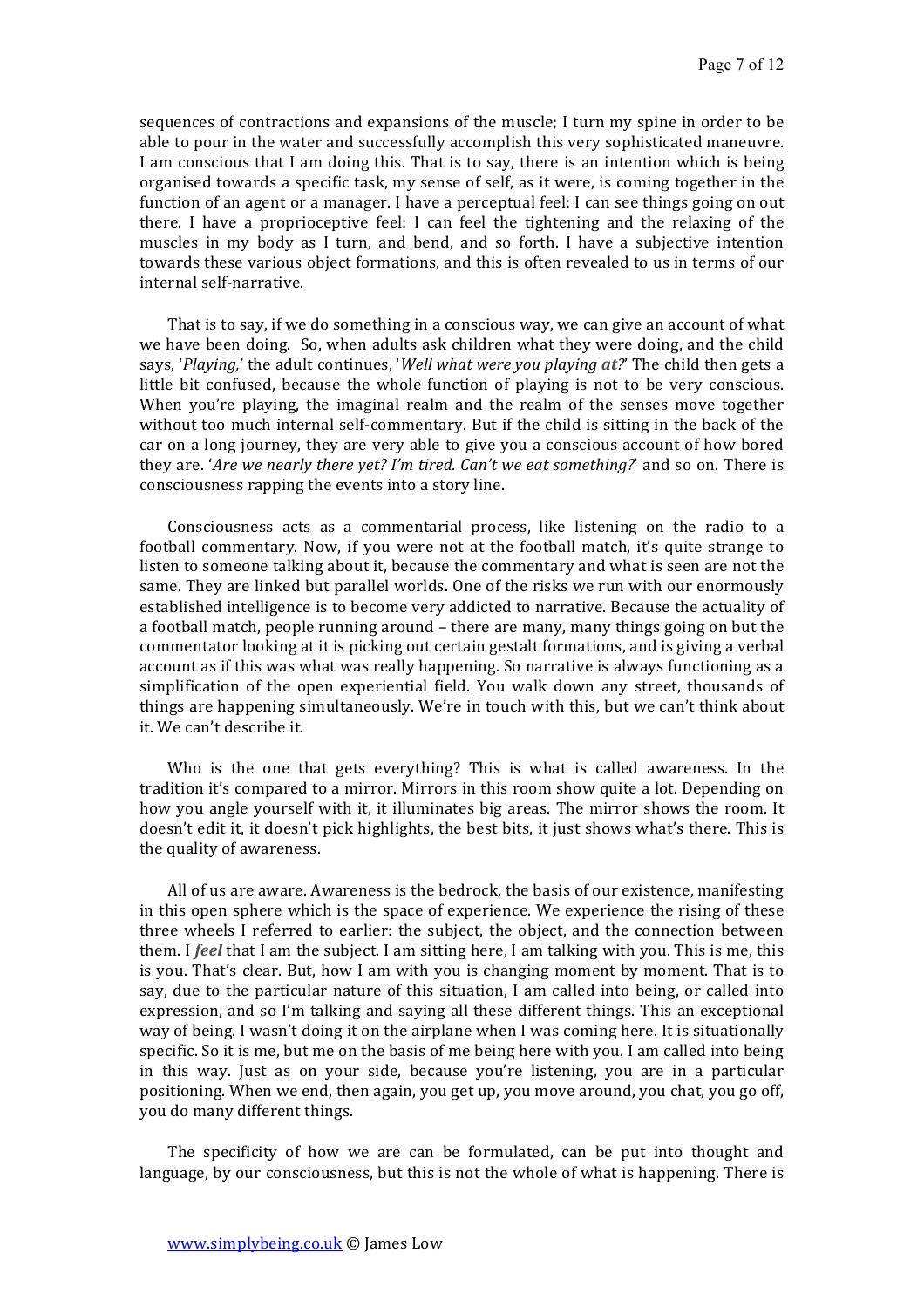sequences of contractions and expansions of the muscle; I turn my spine in order to be able to pour in the water and successfully accomplish this very sophisticated maneuvre. I am conscious that I am doing this. That is to say, there is an intention which is being organised towards a specific task, my sense of self, as it were, is coming together in the function of an agent or a manager. I have a perceptual feel: I can see things going on out there. I have a proprioceptive feel: I can feel the tightening and the relaxing of the muscles in my body as I turn, and bend, and so forth. I have a subjective intention towards these various object formations, and this is often revealed to us in terms of our internal self-narrative. 

That is to say, if we do something in a conscious way, we can give an account of what we have been doing. So, when adults ask children what they were doing, and the child says, '*Playing*,' the adult continues, '*Well what were you playing at?'* The child then gets a little bit confused, because the whole function of playing is not to be very conscious. When you're playing, the imaginal realm and the realm of the senses move together without too much internal self-commentary. But if the child is sitting in the back of the car on a long journey, they are very able to give you a conscious account of how bored they are. '*Are we nearly there yet? I'm tired. Can't we eat something?*' and so on. There is consciousness rapping the events into a story line.

Consciousness acts as a commentarial process, like listening on the radio to a football commentary. Now, if you were not at the football match, it's quite strange to listen to someone talking about it, because the commentary and what is seen are not the same. They are linked but parallel worlds. One of the risks we run with our enormously established intelligence is to become very addicted to narrative. Because the actuality of a football match, people running around - there are many, many things going on but the commentator looking at it is picking out certain gestalt formations, and is giving a verbal account as if this was what was really happening. So narrative is always functioning as a simplification of the open experiential field. You walk down any street, thousands of things are happening simultaneously. We're in touch with this, but we can't think about it. We can't describe it.

Who is the one that gets everything? This is what is called awareness. In the tradition it's compared to a mirror. Mirrors in this room show quite a lot. Depending on how you angle yourself with it, it illuminates big areas. The mirror shows the room. It doesn't edit it, it doesn't pick highlights, the best bits, it just shows what's there. This is the quality of awareness.

All of us are aware. Awareness is the bedrock, the basis of our existence, manifesting in this open sphere which is the space of experience. We experience the rising of these three wheels I referred to earlier: the subject, the object, and the connection between them. I *feel* that I am the subject. I am sitting here, I am talking with you. This is me, this is you. That's clear. But, how I am with you is changing moment by moment. That is to say, due to the particular nature of this situation, I am called into being, or called into expression, and so I'm talking and saying all these different things. This an exceptional way of being. I wasn't doing it on the airplane when I was coming here. It is situationally specific. So it is me, but me on the basis of me being here with you. I am called into being in this way. Just as on your side, because you're listening, you are in a particular positioning. When we end, then again, you get up, you move around, you chat, you go off, you do many different things.

The specificity of how we are can be formulated, can be put into thought and language, by our consciousness, but this is not the whole of what is happening. There is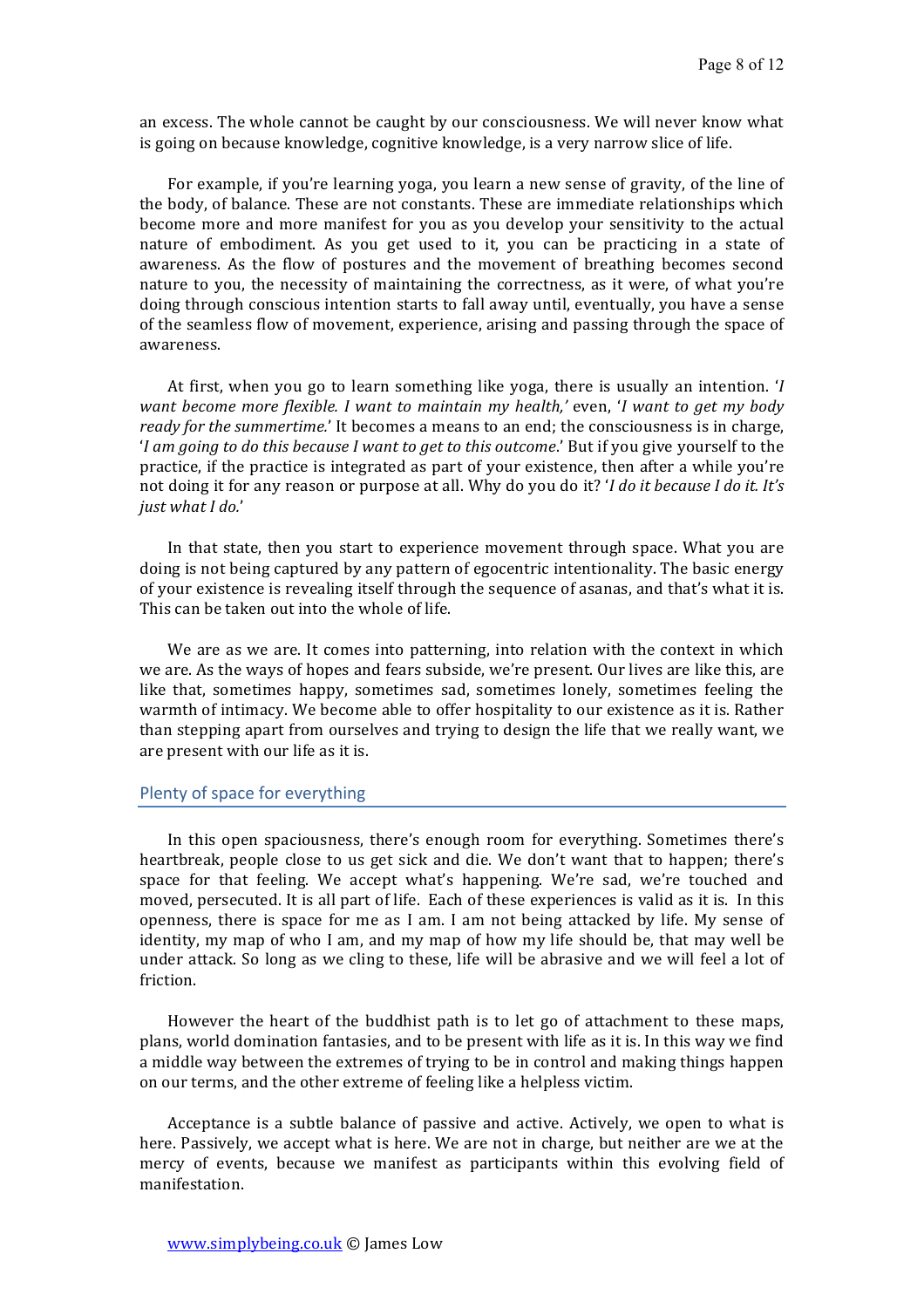an excess. The whole cannot be caught by our consciousness. We will never know what is going on because knowledge, cognitive knowledge, is a very narrow slice of life.

For example, if you're learning yoga, you learn a new sense of gravity, of the line of the body, of balance. These are not constants. These are immediate relationships which become more and more manifest for you as you develop your sensitivity to the actual nature of embodiment. As you get used to it, you can be practicing in a state of awareness. As the flow of postures and the movement of breathing becomes second nature to you, the necessity of maintaining the correctness, as it were, of what you're doing through conscious intention starts to fall away until, eventually, you have a sense of the seamless flow of movement, experience, arising and passing through the space of awareness. 

At first, when you go to learn something like yoga, there is usually an intention. *'I want become more flexible. I* want to maintain my health,' even, 'I want to get my body *ready* for the summertime.' It becomes a means to an end; the consciousness is in charge, '*I* am going to do this because *I* want to get to this outcome.' But if you give yourself to the practice, if the practice is integrated as part of your existence, then after a while you're not doing it for any reason or purpose at all. Why do you do it? *'I do it because I do it. It's just* what I do.'

In that state, then you start to experience movement through space. What you are doing is not being captured by any pattern of egocentric intentionality. The basic energy of your existence is revealing itself through the sequence of asanas, and that's what it is. This can be taken out into the whole of life.

We are as we are. It comes into patterning, into relation with the context in which we are. As the ways of hopes and fears subside, we're present. Our lives are like this, are like that, sometimes happy, sometimes sad, sometimes lonely, sometimes feeling the warmth of intimacy. We become able to offer hospitality to our existence as it is. Rather than stepping apart from ourselves and trying to design the life that we really want, we are present with our life as it is.

### Plenty of space for everything

In this open spaciousness, there's enough room for everything. Sometimes there's heartbreak, people close to us get sick and die. We don't want that to happen; there's space for that feeling. We accept what's happening. We're sad, we're touched and moved, persecuted. It is all part of life. Each of these experiences is valid as it is. In this openness, there is space for me as I am. I am not being attacked by life. My sense of identity, my map of who I am, and my map of how my life should be, that may well be under attack. So long as we cling to these, life will be abrasive and we will feel a lot of friction.

However the heart of the buddhist path is to let go of attachment to these maps, plans, world domination fantasies, and to be present with life as it is. In this way we find a middle way between the extremes of trying to be in control and making things happen on our terms, and the other extreme of feeling like a helpless victim.

Acceptance is a subtle balance of passive and active. Actively, we open to what is here. Passively, we accept what is here. We are not in charge, but neither are we at the mercy of events, because we manifest as participants within this evolving field of manifestation.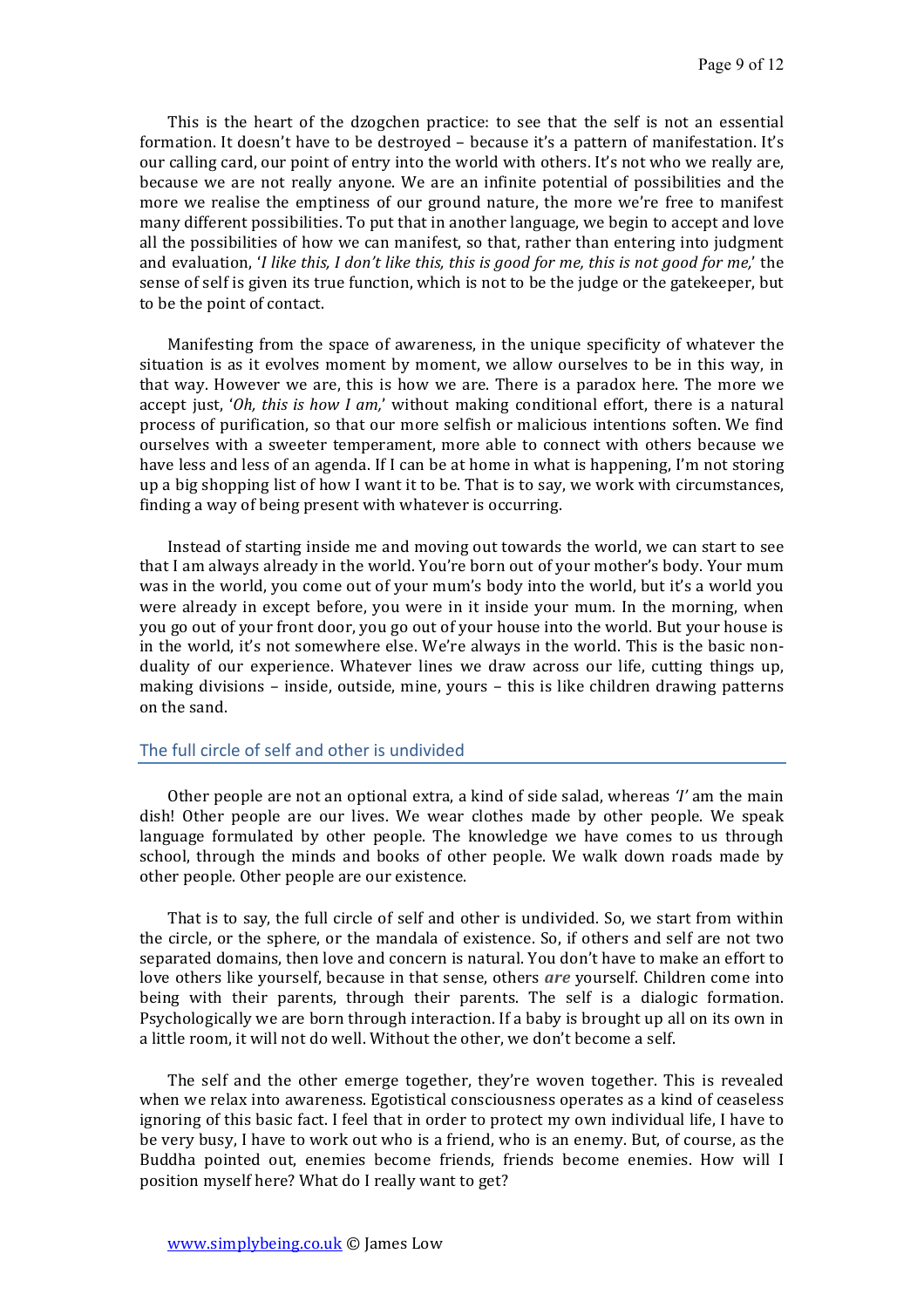This is the heart of the dzogchen practice: to see that the self is not an essential formation. It doesn't have to be destroyed – because it's a pattern of manifestation. It's our calling card, our point of entry into the world with others. It's not who we really are, because we are not really anyone. We are an infinite potential of possibilities and the more we realise the emptiness of our ground nature, the more we're free to manifest many different possibilities. To put that in another language, we begin to accept and love all the possibilities of how we can manifest, so that, rather than entering into judgment and evaluation, *'I like this, I don't like this, this is good for me, this is not good for me,'* the sense of self is given its true function, which is not to be the judge or the gatekeeper, but to be the point of contact.

Manifesting from the space of awareness, in the unique specificity of whatever the situation is as it evolves moment by moment, we allow ourselves to be in this way, in that way. However we are, this is how we are. There is a paradox here. The more we accept just, '*Oh, this is how I am*,' without making conditional effort, there is a natural process of purification, so that our more selfish or malicious intentions soften. We find ourselves with a sweeter temperament, more able to connect with others because we have less and less of an agenda. If I can be at home in what is happening, I'm not storing up a big shopping list of how I want it to be. That is to say, we work with circumstances, finding a way of being present with whatever is occurring.

Instead of starting inside me and moving out towards the world, we can start to see that I am always already in the world. You're born out of your mother's body. Your mum was in the world, you come out of your mum's body into the world, but it's a world you were already in except before, you were in it inside your mum. In the morning, when you go out of your front door, you go out of your house into the world. But your house is in the world, it's not somewhere else. We're always in the world. This is the basic nonduality of our experience. Whatever lines we draw across our life, cutting things up, making divisions – inside, outside, mine, yours – this is like children drawing patterns on the sand.

# The full circle of self and other is undivided

Other people are not an optional extra, a kind of side salad, whereas *'I'* am the main dish! Other people are our lives. We wear clothes made by other people. We speak language formulated by other people. The knowledge we have comes to us through school, through the minds and books of other people. We walk down roads made by other people. Other people are our existence.

That is to say, the full circle of self and other is undivided. So, we start from within the circle, or the sphere, or the mandala of existence. So, if others and self are not two separated domains, then love and concern is natural. You don't have to make an effort to love others like vourself, because in that sense, others *are* vourself. Children come into being with their parents, through their parents. The self is a dialogic formation. Psychologically we are born through interaction. If a baby is brought up all on its own in a little room, it will not do well. Without the other, we don't become a self.

The self and the other emerge together, they're woven together. This is revealed when we relax into awareness. Egotistical consciousness operates as a kind of ceaseless ignoring of this basic fact. I feel that in order to protect my own individual life, I have to be very busy, I have to work out who is a friend, who is an enemy. But, of course, as the Buddha pointed out, enemies become friends, friends become enemies. How will I position myself here? What do I really want to get?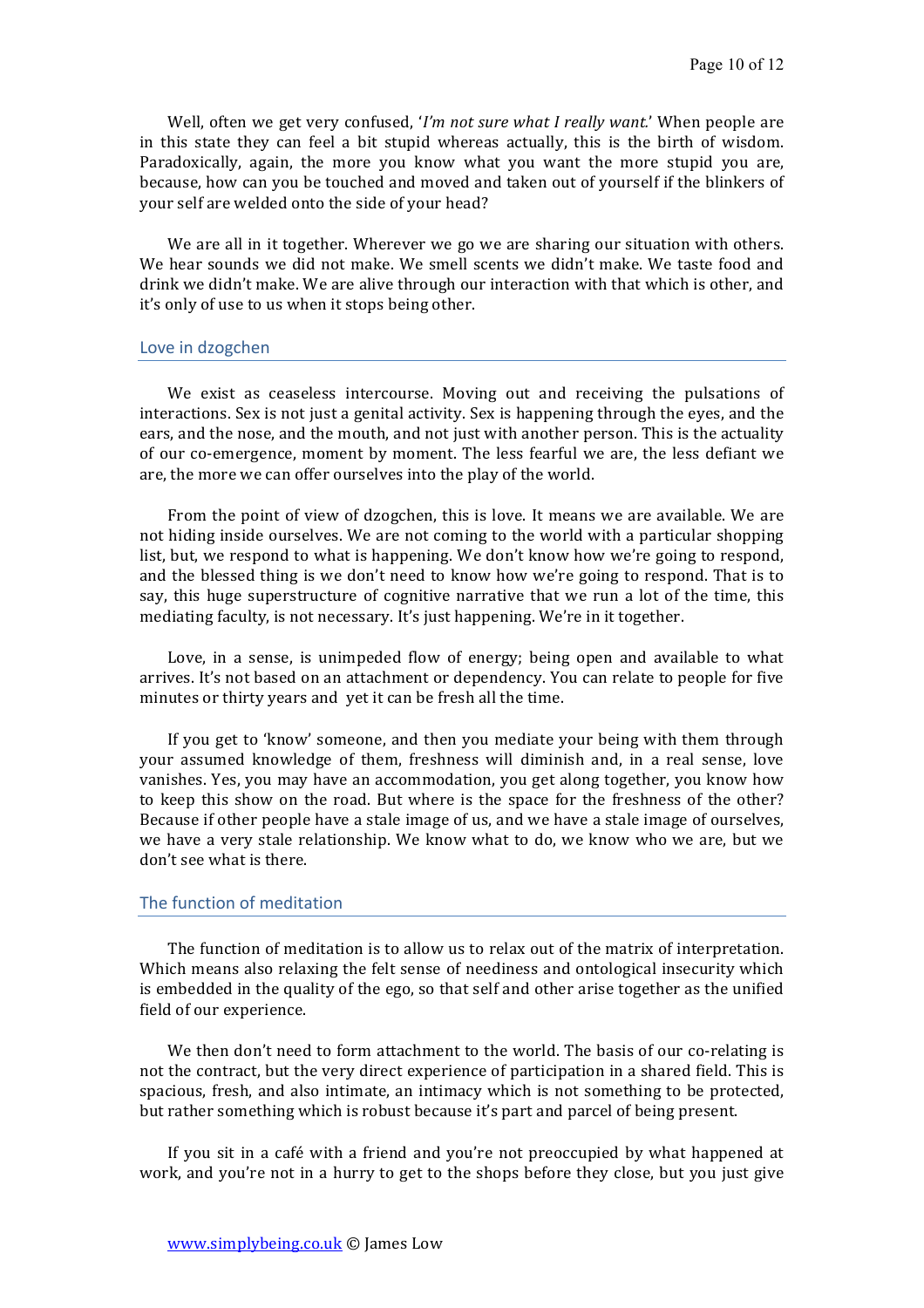Well, often we get very confused, '*I'm not sure what I really want.'* When people are in this state they can feel a bit stupid whereas actually, this is the birth of wisdom. Paradoxically, again, the more you know what you want the more stupid you are, because, how can you be touched and moved and taken out of yourself if the blinkers of your self are welded onto the side of your head?

We are all in it together. Wherever we go we are sharing our situation with others. We hear sounds we did not make. We smell scents we didn't make. We taste food and drink we didn't make. We are alive through our interaction with that which is other, and it's only of use to us when it stops being other.

### Love in dzogchen

We exist as ceaseless intercourse. Moving out and receiving the pulsations of interactions. Sex is not just a genital activity. Sex is happening through the eyes, and the ears, and the nose, and the mouth, and not just with another person. This is the actuality of our co-emergence, moment by moment. The less fearful we are, the less defiant we are, the more we can offer ourselves into the play of the world.

From the point of view of dzogchen, this is love. It means we are available. We are not hiding inside ourselves. We are not coming to the world with a particular shopping list, but, we respond to what is happening. We don't know how we're going to respond, and the blessed thing is we don't need to know how we're going to respond. That is to say, this huge superstructure of cognitive narrative that we run a lot of the time, this mediating faculty, is not necessary. It's just happening. We're in it together.

Love, in a sense, is unimpeded flow of energy; being open and available to what arrives. It's not based on an attachment or dependency. You can relate to people for five minutes or thirty years and yet it can be fresh all the time.

If you get to 'know' someone, and then you mediate your being with them through your assumed knowledge of them, freshness will diminish and, in a real sense, love vanishes. Yes, you may have an accommodation, you get along together, you know how to keep this show on the road. But where is the space for the freshness of the other? Because if other people have a stale image of us, and we have a stale image of ourselves, we have a very stale relationship. We know what to do, we know who we are, but we don't see what is there.

#### The function of meditation

The function of meditation is to allow us to relax out of the matrix of interpretation. Which means also relaxing the felt sense of neediness and ontological insecurity which is embedded in the quality of the ego, so that self and other arise together as the unified field of our experience.

We then don't need to form attachment to the world. The basis of our co-relating is not the contract, but the very direct experience of participation in a shared field. This is spacious, fresh, and also intimate, an intimacy which is not something to be protected, but rather something which is robust because it's part and parcel of being present.

If you sit in a café with a friend and you're not preoccupied by what happened at work, and you're not in a hurry to get to the shops before they close, but you just give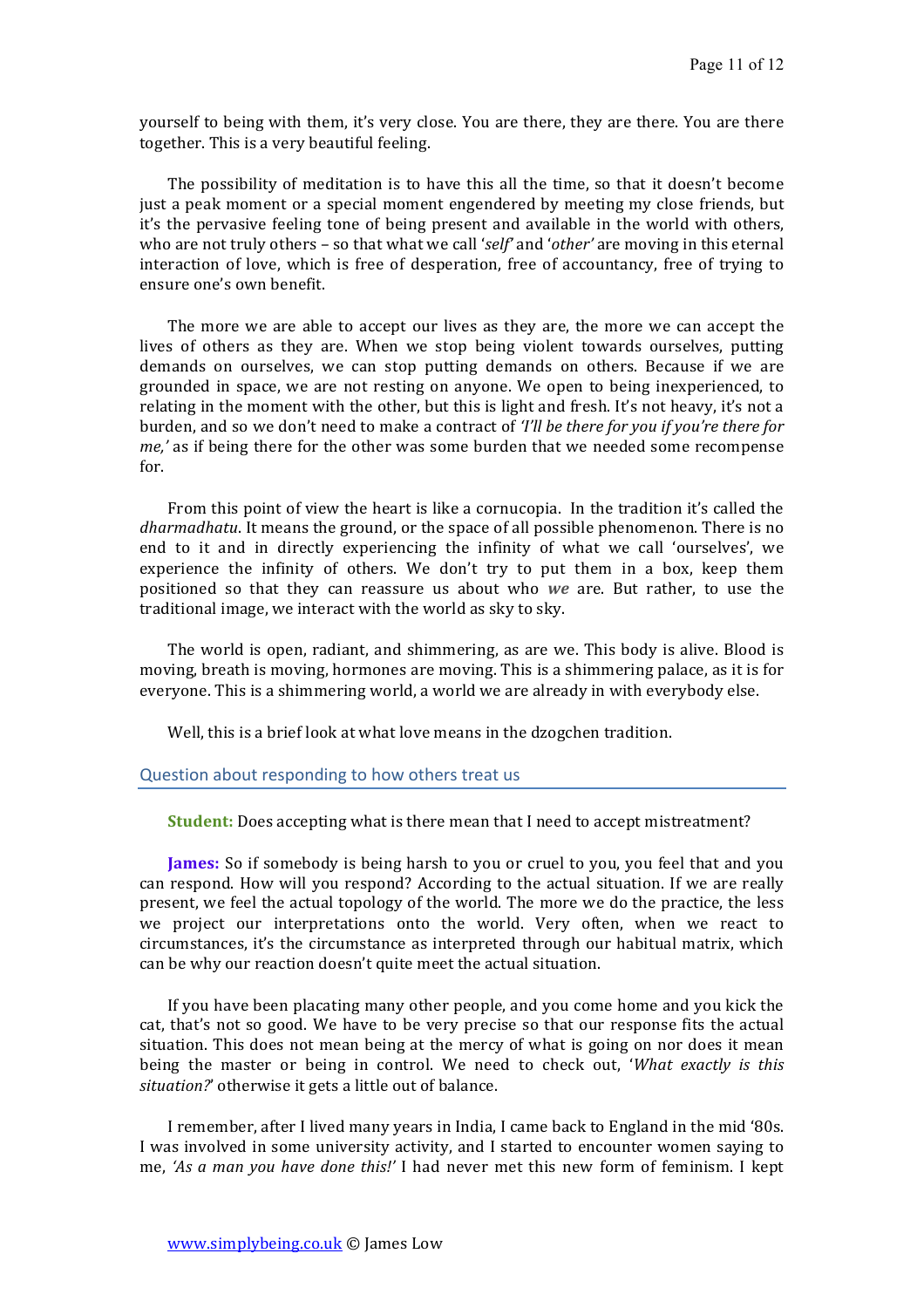yourself to being with them, it's very close. You are there, they are there. You are there together. This is a very beautiful feeling.

The possibility of meditation is to have this all the time, so that it doesn't become just a peak moment or a special moment engendered by meeting my close friends, but it's the pervasive feeling tone of being present and available in the world with others, who are not truly others – so that what we call 'self' and 'other' are moving in this eternal interaction of love, which is free of desperation, free of accountancy, free of trying to ensure one's own benefit.

The more we are able to accept our lives as they are, the more we can accept the lives of others as they are. When we stop being violent towards ourselves, putting demands on ourselves, we can stop putting demands on others. Because if we are grounded in space, we are not resting on anyone. We open to being inexperienced, to relating in the moment with the other, but this is light and fresh. It's not heavy, it's not a burden, and so we don't need to make a contract of *'I'll be there for you if you're there for me*,' as if being there for the other was some burden that we needed some recompense for. 

From this point of view the heart is like a cornucopia. In the tradition it's called the *dharmadhatu*. It means the ground, or the space of all possible phenomenon. There is no end to it and in directly experiencing the infinity of what we call 'ourselves', we experience the infinity of others. We don't try to put them in a box, keep them positioned so that they can reassure us about who *we* are. But rather, to use the traditional image, we interact with the world as sky to sky.

The world is open, radiant, and shimmering, as are we. This body is alive. Blood is moving, breath is moving, hormones are moving. This is a shimmering palace, as it is for everyone. This is a shimmering world, a world we are already in with everybody else.

Well, this is a brief look at what love means in the dzogchen tradition.

#### Question about responding to how others treat us

**Student:** Does accepting what is there mean that I need to accept mistreatment?

**James:** So if somebody is being harsh to you or cruel to you, you feel that and you can respond. How will you respond? According to the actual situation. If we are really present, we feel the actual topology of the world. The more we do the practice, the less we project our interpretations onto the world. Very often, when we react to circumstances, it's the circumstance as interpreted through our habitual matrix, which can be why our reaction doesn't quite meet the actual situation.

If you have been placating many other people, and you come home and you kick the cat, that's not so good. We have to be very precise so that our response fits the actual situation. This does not mean being at the mercy of what is going on nor does it mean being the master or being in control. We need to check out, '*What exactly* is this situation?' otherwise it gets a little out of balance.

I remember, after I lived many years in India, I came back to England in the mid '80s. I was involved in some university activity, and I started to encounter women saying to me, 'As a man you have done this!' I had never met this new form of feminism. I kept